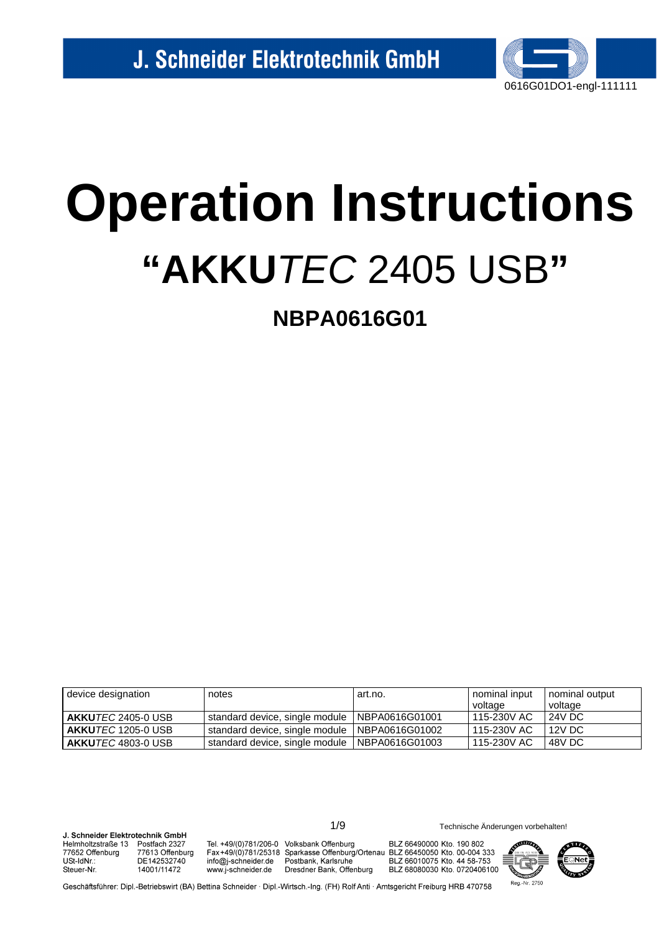

# **Operation Instructions** "AKKUTEC 2405 USB"

**NBPA0616G01** 

| device designation                  | notes                                           | art.no. | nominal input<br>voltage | nominal output<br>voltage |
|-------------------------------------|-------------------------------------------------|---------|--------------------------|---------------------------|
| AKKU <i>TEC</i> 2405-0 USB          | standard device, single module   NBPA0616G01001 |         | 115-230V AC              | 24V DC                    |
| l <b>AKKU</b> <i>TEC</i> 1205-0 USB | standard device, single module   NBPA0616G01002 |         | 115-230V AC              | 12V DC                    |
| I <b>AKKU</b> <i>TEC</i> 4803-0 USB | standard device, single module   NBPA0616G01003 |         | 115-230V AC              | 48V DC                    |

**I** Schneider Flektrotechnik GmhH Helmholtzstraße 13 Postfach 2327 77652 Offenburg 77613 Offenburg USt-IdNr.: DE142532740 14001/11472 Steuer-Nr

Tel. +49/(0)781/206-0 Volksbank Offenburg info@j-schneider.de www.i-schneider.de

Fax+49/(0)781/25318 Sparkasse Offenburg/Ortenau BLZ 66450050 Kto. 00-004 333 Postbank, Karlsruhe Dresdner Bank, Offenburg

 $1/9$ 

BLZ 66490000 Kto. 190 802 BLZ 66010075 Kto. 44 58-753 BLZ 68080030 Kto. 0720406100



Technische Änderungen vorbehalten!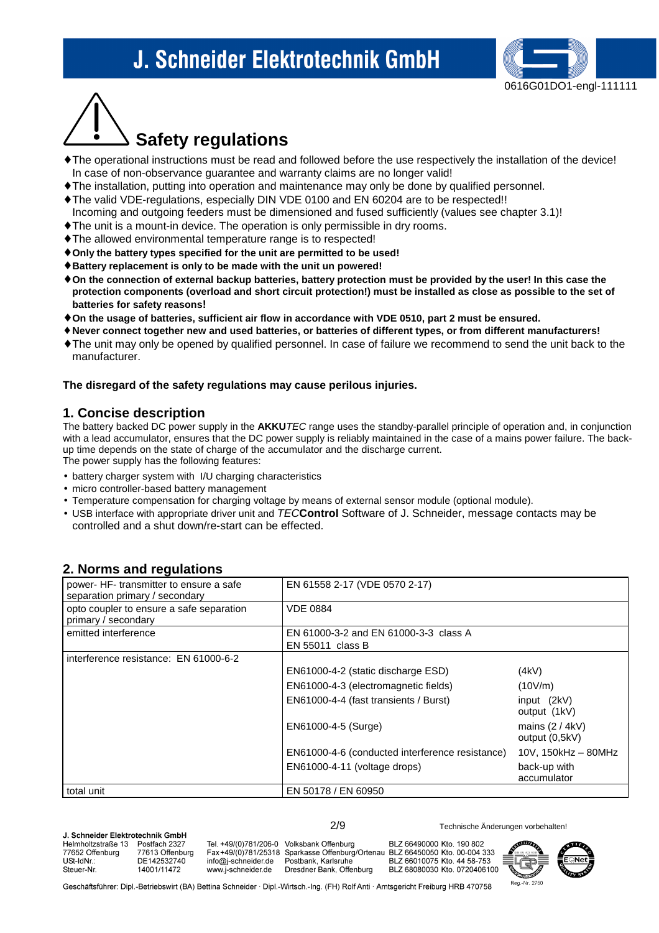

# **Safety regulations**

- ♦ The operational instructions must be read and followed before the use respectively the installation of the device! In case of non-observance guarantee and warranty claims are no longer valid!
- ♦ The installation, putting into operation and maintenance may only be done by qualified personnel.
- ♦ The valid VDE-regulations, especially DIN VDE 0100 and EN 60204 are to be respected!!
- Incoming and outgoing feeders must be dimensioned and fused sufficiently (values see chapter 3.1)!
- ♦ The unit is a mount-in device. The operation is only permissible in dry rooms.
- ♦ The allowed environmental temperature range is to respected!
- ♦ **Only the battery types specified for the unit are permitted to be used!**
- ♦ **Battery replacement is only to be made with the unit un powered!**
- ♦ **On the connection of external backup batteries, battery protection must be provided by the user! In this case the protection components (overload and short circuit protection!) must be installed as close as possible to the set of batteries for safety reasons!**
- ♦ **On the usage of batteries, sufficient air flow in accordance with VDE 0510, part 2 must be ensured.**
- ♦ **Never connect together new and used batteries, or batteries of different types, or from different manufacturers!**
- ♦ The unit may only be opened by qualified personnel. In case of failure we recommend to send the unit back to the manufacturer.

#### **The disregard of the safety regulations may cause perilous injuries.**

#### **1. Concise description**

The battery backed DC power supply in the **AKKU**TEC range uses the standby-parallel principle of operation and, in conjunction with a lead accumulator, ensures that the DC power supply is reliably maintained in the case of a mains power failure. The backup time depends on the state of charge of the accumulator and the discharge current. The power supply has the following features:

- battery charger system with I/U charging characteristics
- micro controller-based battery management
- Temperature compensation for charging voltage by means of external sensor module (optional module).
- USB interface with appropriate driver unit and TEC**Control** Software of J. Schneider, message contacts may be controlled and a shut down/re-start can be effected.

### **2. Norms and regulations**

| power- HF- transmitter to ensure a safe<br>separation primary / secondary | EN 61558 2-17 (VDE 0570 2-17)                             |                                     |
|---------------------------------------------------------------------------|-----------------------------------------------------------|-------------------------------------|
| opto coupler to ensure a safe separation<br>primary / secondary           | <b>VDE 0884</b>                                           |                                     |
| emitted interference                                                      | EN 61000-3-2 and EN 61000-3-3 class A<br>EN 55011 class B |                                     |
| interference resistance: EN 61000-6-2                                     |                                                           |                                     |
|                                                                           | EN61000-4-2 (static discharge ESD)                        | (4kV)                               |
|                                                                           | EN61000-4-3 (electromagnetic fields)                      | (10V/m)                             |
|                                                                           | EN61000-4-4 (fast transients / Burst)                     | input (2kV)<br>output (1kV)         |
|                                                                           | EN61000-4-5 (Surge)                                       | mains $(2 / 4kV)$<br>output (0,5kV) |
|                                                                           | EN61000-4-6 (conducted interference resistance)           | $10V$ , $150kHz - 80MHz$            |
|                                                                           | EN61000-4-11 (voltage drops)                              | back-up with<br>accumulator         |
| total unit                                                                | EN 50178 / EN 60950                                       |                                     |

| J. Schneider Elektrotechnik GmbH |                 |                                           |                      |  |  |  |
|----------------------------------|-----------------|-------------------------------------------|----------------------|--|--|--|
| Helmholtzstraße 13               | Postfach 2327   | Tel. +49/(0)781/206-0 Volksbank Offenburg |                      |  |  |  |
| 77652 Offenburg                  | 77613 Offenburg | Fax+49/(0)781/25318 Sparkasse Offenburg   |                      |  |  |  |
| USt-IdNr.:                       | DE142532740     | info@i-schneider.de                       | Postbank, Karlsruhe  |  |  |  |
| Steuer-Nr.                       | 14001/11472     | www.j-schneider.de                        | Dresdner Bank, Offer |  |  |  |
|                                  |                 |                                           |                      |  |  |  |

hura BLZ 68080030 Kto. 0720406100

BLZ 66490000 Kto. 190 802 /Ortenau BLZ 66450050 Kto. 00-004 333 BLZ 66010075 Kto. 44 58-753

2/9 Technische Änderungen vorbehalten!

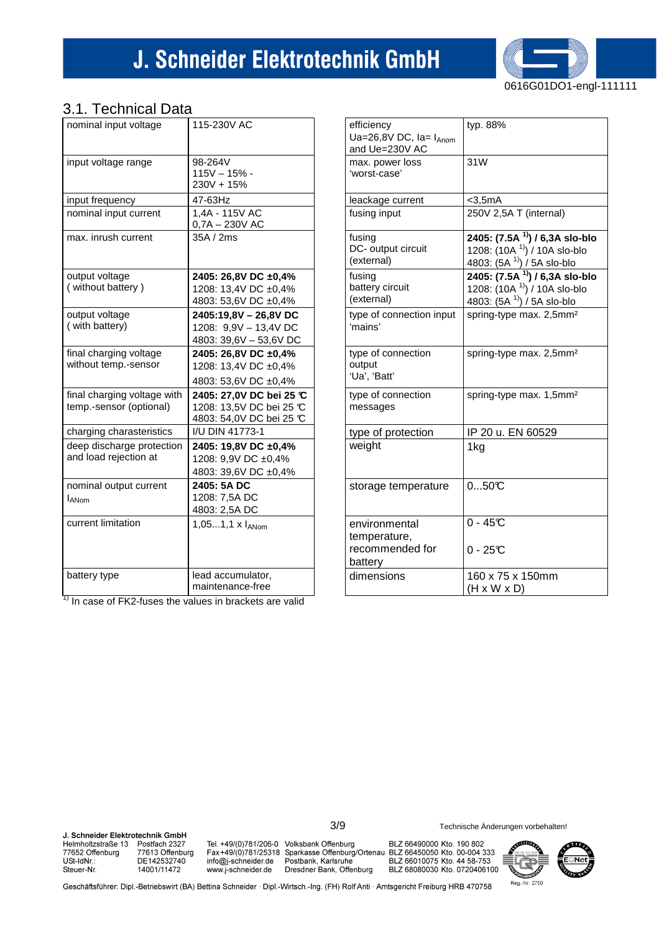

## 3.1 Technical Data

| uun ni uu<br>້∟∠ດ           |                                  |
|-----------------------------|----------------------------------|
| nominal input voltage       | 115-230V AC                      |
|                             |                                  |
| input voltage range         | 98-264V                          |
|                             | $115V - 15% -$                   |
|                             | $230V + 15%$                     |
| input frequency             | 47-63Hz                          |
| nominal input current       | 1,4A - 115V AC                   |
|                             | 0,7A - 230V AC                   |
| max. inrush current         | 35A / 2ms                        |
|                             |                                  |
| output voltage              | 2405: 26,8V DC ±0,4%             |
| (without battery)           | 1208: 13,4V DC ±0,4%             |
|                             | 4803: 53,6V DC ±0,4%             |
| output voltage              | 2405:19,8V - 26,8V DC            |
| (with battery)              | 1208: 9,9V - 13,4V DC            |
|                             | 4803: 39,6V - 53,6V DC           |
| final charging voltage      | 2405: 26,8V DC ±0,4%             |
| without temp.-sensor        | 1208: 13,4V DC ±0,4%             |
|                             | 4803: 53,6V DC ±0,4%             |
| final charging voltage with | 2405: 27,0V DC bei 25 ℃          |
| temp.-sensor (optional)     | 1208: 13,5V DC bei 25 °C         |
|                             | 4803: 54,0V DC bei 25 ℃          |
| charging charasteristics    | I/U DIN 41773-1                  |
| deep discharge protection   | 2405: 19,8V DC ±0,4%             |
| and load rejection at       | 1208: 9,9V DC ±0,4%              |
|                             | 4803: 39,6V DC ±0,4%             |
| nominal output current      | 2405: 5A DC                      |
| <b>LANom</b>                | 1208: 7,5A DC                    |
|                             | 4803: 2,5A DC                    |
| current limitation          | $1,051,1 \times I_{\text{ANom}}$ |
|                             |                                  |
|                             |                                  |
| battery type                | lead accumulator,                |
|                             | maintenance-free                 |

| efficiency<br>Ua=26,8V DC, $Ia = I_{Anom}$<br>and Ue=230V AC | typ. 88%                                                                                                            |
|--------------------------------------------------------------|---------------------------------------------------------------------------------------------------------------------|
| max. power loss<br>'worst-case'                              | 31W                                                                                                                 |
| leackage current                                             | $<$ 3,5mA                                                                                                           |
| fusing input                                                 | 250V 2,5A T (internal)                                                                                              |
| fusing<br>DC- output circuit<br>(external)                   | 2405: (7.5A <sup>1)</sup> ) / 6,3A slo-blo<br>1208: (10A <sup>1)</sup> ) / 10A slo-blo<br>4803: (5A 1) / 5A slo-blo |
| fusing<br>battery circuit<br>(external)                      | 2405: (7.5A <sup>1)</sup> ) / 6,3A slo-blo<br>1208: $(10A^{11})/10A$ slo-blo<br>4803: $(5A^{11})/5A$ slo-blo        |
| type of connection input<br>'mains'                          | spring-type max. 2,5mm <sup>2</sup>                                                                                 |
| type of connection<br>output<br>'Ua', 'Batt'                 | spring-type max. 2,5mm <sup>2</sup>                                                                                 |
| type of connection<br>messages                               | spring-type max. 1,5mm <sup>2</sup>                                                                                 |
| type of protection                                           | IP 20 u. EN 60529                                                                                                   |
| weight                                                       | 1kg                                                                                                                 |
| storage temperature                                          | 050C                                                                                                                |
| environmental                                                | $0 - 45C$                                                                                                           |
| temperature,                                                 |                                                                                                                     |
| recommended for<br>battery                                   | $0 - 25C$                                                                                                           |
| dimensions                                                   | 160 x 75 x 150mm<br>$(H \times W \times D)$                                                                         |

 $\frac{1}{1}$  In case of FK2-fuses the values in brackets are valid

J. Schneider Elektrotechnik GmbH Helmholtzstraße 13 Postfach 2327 77652 Offenburg 77613 Offenburg DE142532740<br>14001/11472 USt-IdNr.: Steuer-Nr.

Tel. +49/(0)781/206-0 Volksbank Offenburg

Fax+49/(0)781/25318 Sparkasse Offenburg/Ortenau BLZ 66450050 Kto. 00-004 333<br>info@j-schneider.de Postbank, Karlsruhe BLZ 66450050 Kto. 00-004 333<br>www.j-schneider.de Dresdner Bank, Offenburg BLZ 68080030 Kto. 0720406100

 $3/9$ 

BLZ 66490000 Kto. 190 802 BLZ 68080030 Kto. 0720406100



Geschäftsführer: Dipl.-Betriebswirt (BA) Bettina Schneider · Dipl.-Wirtsch.-Ing. (FH) Rolf Anti · Amtsgericht Freiburg HRB 470758

Technische Änderungen vorbehalten!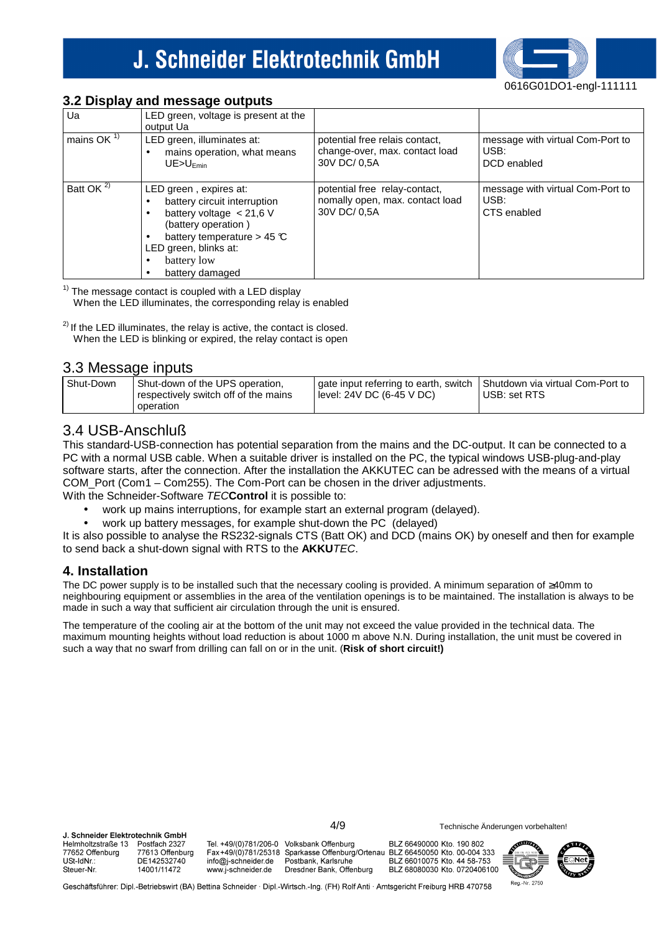### **3.2 Display and message outputs**

| Ua                         | LED green, voltage is present at the<br>output Ua                                                                                                                                                              |                                                                                  |                                                         |
|----------------------------|----------------------------------------------------------------------------------------------------------------------------------------------------------------------------------------------------------------|----------------------------------------------------------------------------------|---------------------------------------------------------|
| mains OK $1$ <sup>1)</sup> | LED green, illuminates at:<br>mains operation, what means<br>$UE > U$ <sub>Fmin</sub>                                                                                                                          | potential free relais contact,<br>change-over, max. contact load<br>30V DC/ 0.5A | message with virtual Com-Port to<br>USB:<br>DCD enabled |
| Batt OK <sup>2)</sup>      | LED green, expires at:<br>battery circuit interruption<br>battery voltage $< 21.6$ V<br>(battery operation)<br>battery temperature > 45 $\mathbb C$<br>LED green, blinks at:<br>battery low<br>battery damaged | potential free relay-contact,<br>nomally open, max. contact load<br>30V DC/ 0.5A | message with virtual Com-Port to<br>USB:<br>CTS enabled |

0616G01DO1-engl-111111

Reg.-Nr. 2750

 $1)$  The message contact is coupled with a LED display

When the LED illuminates, the corresponding relay is enabled

 $2)$  If the LED illuminates, the relay is active, the contact is closed. When the LED is blinking or expired, the relay contact is open

### 3.3 Message inputs

| Shut-Down<br>Shut-down of the UPS operation,<br>respectively switch off of the mains<br>operation | gate input referring to earth, switch   Shutdown via virtual Com-Port to<br>level: 24V DC (6-45 V DC) | USB: set RTS |
|---------------------------------------------------------------------------------------------------|-------------------------------------------------------------------------------------------------------|--------------|
|---------------------------------------------------------------------------------------------------|-------------------------------------------------------------------------------------------------------|--------------|

### 3.4 USB-Anschluß

This standard-USB-connection has potential separation from the mains and the DC-output. It can be connected to a PC with a normal USB cable. When a suitable driver is installed on the PC, the typical windows USB-plug-and-play software starts, after the connection. After the installation the AKKUTEC can be adressed with the means of a virtual COM\_Port (Com1 – Com255). The Com-Port can be chosen in the driver adjustments.

With the Schneider-Software TEC**Control** it is possible to:

- work up mains interruptions, for example start an external program (delayed).
- work up battery messages, for example shut-down the PC (delayed)

It is also possible to analyse the RS232-signals CTS (Batt OK) and DCD (mains OK) by oneself and then for example to send back a shut-down signal with RTS to the **AKKU**TEC.

### **4. Installation**

The DC power supply is to be installed such that the necessary cooling is provided. A minimum separation of ≥40mm to neighbouring equipment or assemblies in the area of the ventilation openings is to be maintained. The installation is always to be made in such a way that sufficient air circulation through the unit is ensured.

The temperature of the cooling air at the bottom of the unit may not exceed the value provided in the technical data. The maximum mounting heights without load reduction is about 1000 m above N.N. During installation, the unit must be covered in such a way that no swarf from drilling can fall on or in the unit. (**Risk of short circuit!)** 

| J. Schneider Elektrotechnik GmbH                                  |                                                                |                                                                                        | 4/9                                             | Technische Änderungen vorbehalten!                                                                                                                                       |   |               |
|-------------------------------------------------------------------|----------------------------------------------------------------|----------------------------------------------------------------------------------------|-------------------------------------------------|--------------------------------------------------------------------------------------------------------------------------------------------------------------------------|---|---------------|
| Helmholtzstraße 13<br>77652 Offenburg<br>USt-IdNr.:<br>Steuer-Nr. | Postfach 2327<br>77613 Offenburg<br>DE142532740<br>14001/11472 | Tel. +49/(0)781/206-0 Volksbank Offenburg<br>info@i-schneider.de<br>www.j-schneider.de | Postbank, Karlsruhe<br>Dresdner Bank, Offenburg | BLZ 66490000 Kto. 190 802<br>Fax+49/(0)781/25318 Sparkasse Offenburg/Ortenau BLZ 66450050 Kto. 00-004 333<br>BLZ 66010075 Kto. 44 58-753<br>BLZ 68080030 Kto. 0720406100 | E | <b>ECINET</b> |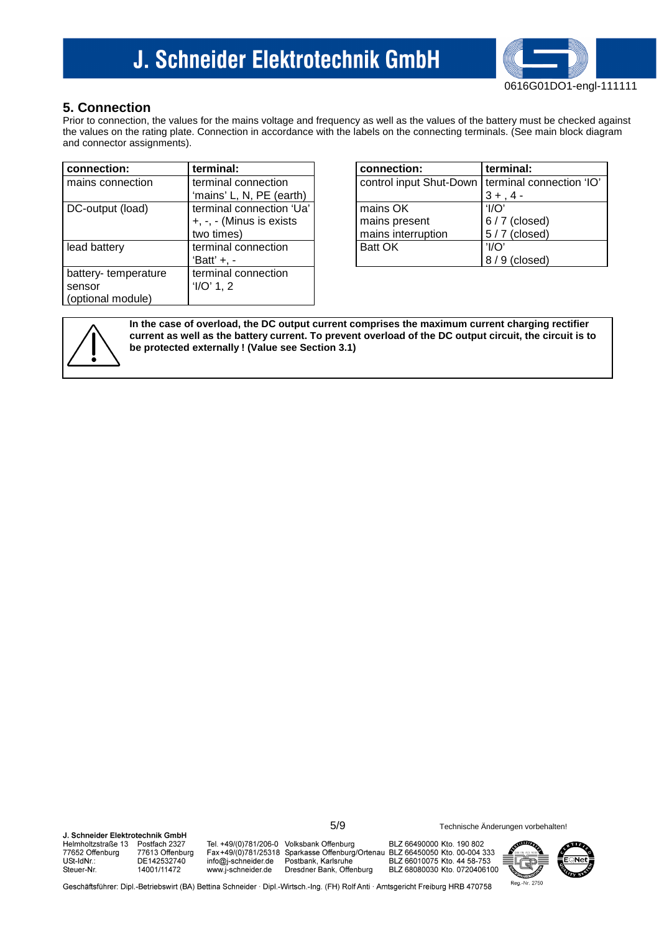

### **5. Connection**

Prior to connection, the values for the mains voltage and frequency as well as the values of the battery must be checked against the values on the rating plate. Connection in accordance with the labels on the connecting terminals. (See main block diagram and connector assignments).

| connection:         | terminal:                | connection:                                | terminal:        |
|---------------------|--------------------------|--------------------------------------------|------------------|
| mains connection    | terminal connection      | control input Shut-Down   terminal control |                  |
|                     | 'mains' L, N, PE (earth) |                                            | $3 + 4 -$        |
| DC-output (load)    | terminal connection 'Ua' | mains OK                                   | 'l/O $^{\prime}$ |
|                     | +, -, - (Minus is exists | mains present                              | $6/7$ (close     |
|                     | two times)               | mains interruption                         | $5/7$ (close     |
| lead battery        | terminal connection      | <b>Batt OK</b>                             | $'$ l/O'         |
|                     | 'Batt' $+$ , $-$         |                                            | $8/9$ (close     |
| battery-temperature | terminal connection      |                                            |                  |
| sensor              | 'I/O' 1, 2               |                                            |                  |
| (optional module)   |                          |                                            |                  |

| connection:                                        | terminal:      |
|----------------------------------------------------|----------------|
| control input Shut-Down   terminal connection 'IO' |                |
|                                                    | $3 +$ ,        |
| mains OK                                           | 'I/O           |
| mains present                                      | $6/7$ (closed) |
| mains interruption                                 | $5/7$ (closed) |
| <b>Batt OK</b>                                     | $'$ l/O        |
|                                                    | (closed)<br>8. |



**In the case of overload, the DC output current comprises the maximum current charging rectifier current as well as the battery current. To prevent overload of the DC output circuit, the circuit is to be protected externally ! (Value see Section 3.1)**

J. Schneider Elektrotechnik GmbH Tel. +49/(0)781/206-0 Volksbank Offenburg BLZ 66490000 Kto. 190 802 Helmholtzstraße 13 Postfach 2327 77652 Offenburg 77613 Offenburg Fax+49/(0)781/25318 Sparkasse Offenburg/Ortenau BLZ 66450050 Kto. 00-004 333 USt-IdNr.: DE142532740 info@j-schneider.de Postbank, Karlsruhe BLZ 66010075 Kto. 44 58-753 14001/11472 Steuer-Nr www.i-schneider.de Dresdner Bank, Offenburg BLZ 68080030 Kto. 0720406100



5/9 Technische Änderungen vorbehalten!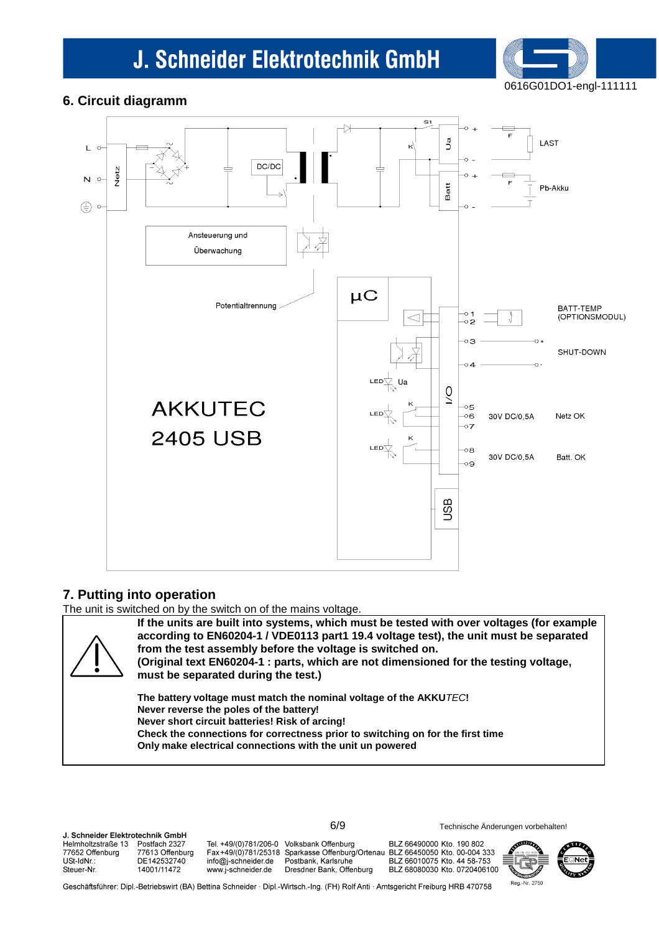

### **6. Circuit diagramm**



### **7. Putting into operation**

The unit is switched on by the switch on of the mains voltage.



**If the units are built into systems, which must be tested with over voltages (for example according to EN60204-1 / VDE0113 part1 19.4 voltage test), the unit must be separated from the test assembly before the voltage is switched on. (Original text EN60204-1 : parts, which are not dimensioned for the testing voltage,** 

**must be separated during the test.)**

**The battery voltage must match the nominal voltage of the AKKU**TEC**! Never reverse the poles of the battery! Never short circuit batteries! Risk of arcing! Check the connections for correctness prior to switching on for the first time Only make electrical connections with the unit un powered**

**L. Schneider Elektrotechnik GmhH** Helmholtzstraße 13 Postfach 2327 77652 Offenburg 77613 Offenburg USt-IdNr. DE142532740 14001/11472 Steuer-Nr

Tel. +49/(0)781/206-0 Volksbank Offenburg info@j-schneider.de www.i-schneider.de

BLZ 66490000 Kto. 190 802 Fax+49/(0)781/25318 Sparkasse Offenburg/Ortenau BLZ 66450050 Kto. 00-004 333 Postbank, Karlsruhe BLZ 66010075 Kto. 44 58-753 Dresdner Bank, Offenburg BLZ 68080030 Kto. 0720406100

6/9 Technische Änderungen vorbehalten!

2750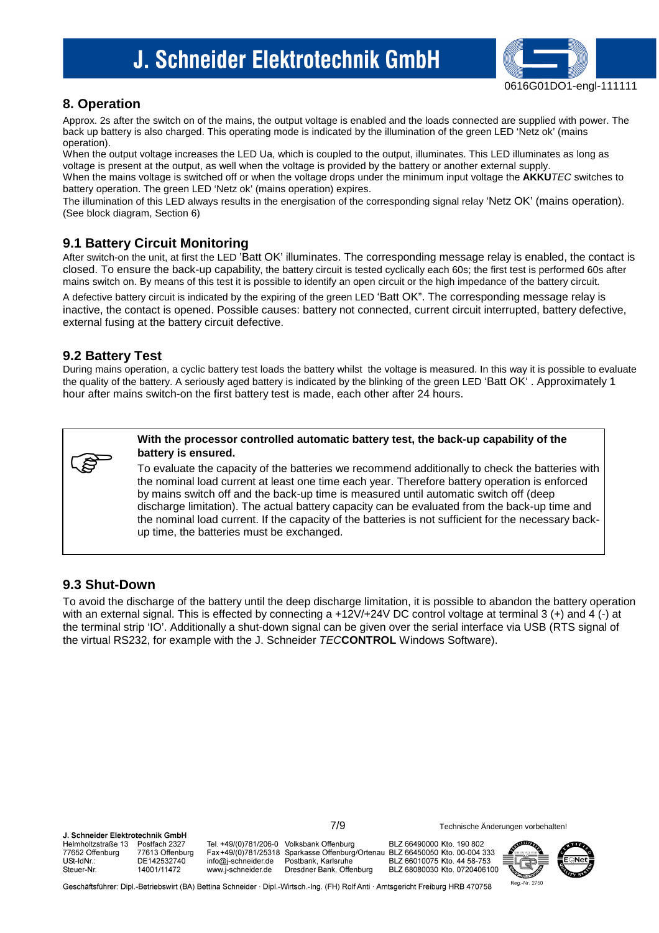

2750

### **8. Operation**

Approx. 2s after the switch on of the mains, the output voltage is enabled and the loads connected are supplied with power. The back up battery is also charged. This operating mode is indicated by the illumination of the green LED 'Netz ok' (mains operation).

When the output voltage increases the LED Ua, which is coupled to the output, illuminates. This LED illuminates as long as voltage is present at the output, as well when the voltage is provided by the battery or another external supply. When the mains voltage is switched off or when the voltage drops under the minimum input voltage the **AKKU**TEC switches to battery operation. The green LED 'Netz ok' (mains operation) expires.

The illumination of this LED always results in the energisation of the corresponding signal relay 'Netz OK' (mains operation). (See block diagram, Section 6)

### **9.1 Battery Circuit Monitoring**

After switch-on the unit, at first the LED 'Batt OK' illuminates. The corresponding message relay is enabled, the contact is closed. To ensure the back-up capability, the battery circuit is tested cyclically each 60s; the first test is performed 60s after mains switch on. By means of this test it is possible to identify an open circuit or the high impedance of the battery circuit.

A defective battery circuit is indicated by the expiring of the green LED 'Batt OK". The corresponding message relay is inactive, the contact is opened. Possible causes: battery not connected, current circuit interrupted, battery defective, external fusing at the battery circuit defective.

### **9.2 Battery Test**

During mains operation, a cyclic battery test loads the battery whilst the voltage is measured. In this way it is possible to evaluate the quality of the battery. A seriously aged battery is indicated by the blinking of the green LED 'Batt OK' . Approximately 1 hour after mains switch-on the first battery test is made, each other after 24 hours.



**With the processor controlled automatic battery test, the back-up capability of the battery is ensured.** 

To evaluate the capacity of the batteries we recommend additionally to check the batteries with the nominal load current at least one time each year. Therefore battery operation is enforced by mains switch off and the back-up time is measured until automatic switch off (deep discharge limitation). The actual battery capacity can be evaluated from the back-up time and the nominal load current. If the capacity of the batteries is not sufficient for the necessary backup time, the batteries must be exchanged.

#### **9.3 Shut-Down**

To avoid the discharge of the battery until the deep discharge limitation, it is possible to abandon the battery operation with an external signal. This is effected by connecting a +12V/+24V DC control voltage at terminal 3 (+) and 4 (-) at the terminal strip 'IO'. Additionally a shut-down signal can be given over the serial interface via USB (RTS signal of the virtual RS232, for example with the J. Schneider TEC**CONTROL** Windows Software).

7/9 Technische Änderungen vorbehalten! **I** Schneider Flektrotechnik GmhH Helmholtzstraße 13 Tel. +49/(0)781/206-0 Volksbank Offenburg BLZ 66490000 Kto. 190 802 Postfach 2327 77652 Offenburg 77613 Offenburg Fax+49/(0)781/25318 Sparkasse Offenburg/Ortenau BLZ 66450050 Kto. 00-004 333 **LISt-JoNr** DE142532740 info@j-schneider.de Postbank, Karlsruhe BLZ 66010075 Kto. 44 58-753 Steuer-Nr 14001/11472 www.j-schneider.de Dresdner Bank, Offenburg BLZ 68080030 Kto. 0720406100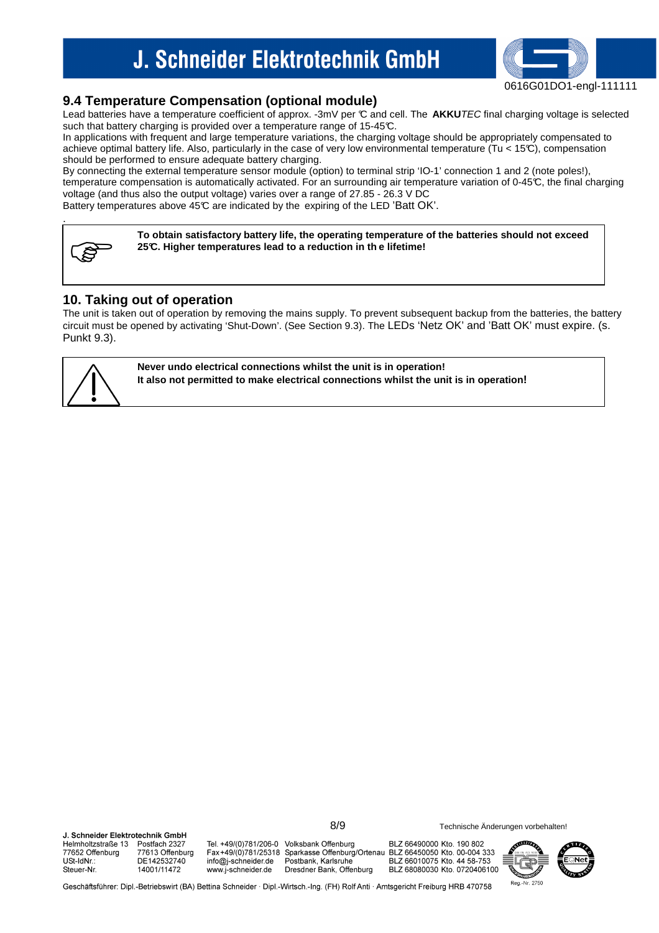

### **9.4 Temperature Compensation (optional module)**

Lead batteries have a temperature coefficient of approx. -3mV per C and cell. The **AKKU**TEC final charging voltage is selected such that battery charging is provided over a temperature range of 15-45°C.

In applications with frequent and large temperature variations, the charging voltage should be appropriately compensated to achieve optimal battery life. Also, particularly in the case of very low environmental temperature (Tu < 15°C), compensation should be performed to ensure adequate battery charging.

By connecting the external temperature sensor module (option) to terminal strip 'IO-1' connection 1 and 2 (note poles!), temperature compensation is automatically activated. For an surrounding air temperature variation of 0-45°C, the final charging voltage (and thus also the output voltage) varies over a range of 27.85 - 26.3 V DC

Battery temperatures above 45°C are indicated by the expiring of the LED 'Batt OK'.



.

**To obtain satisfactory battery life, the operating temperature of the batteries should not exceed 25°C. Higher temperatures lead to a reduction in th e lifetime!**

### **10. Taking out of operation**

The unit is taken out of operation by removing the mains supply. To prevent subsequent backup from the batteries, the battery circuit must be opened by activating 'Shut-Down'. (See Section 9.3). The LEDs 'Netz OK' and 'Batt OK' must expire. (s. Punkt 9.3).



**Never undo electrical connections whilst the unit is in operation! It also not permitted to make electrical connections whilst the unit is in operation!**

**I** Schneider Flektrotechnik GmhH Tel. +49/(0)781/206-0 Volksbank Offenburg BLZ 66490000 Kto. 190 802 Helmholtzstraße 13 Postfach 2327 77652 Offenburg 77613 Offenburg Fax+49/(0)781/25318 Sparkasse Offenburg/Ortenau BLZ 66450050 Kto. 00-004 333 USt-IdNr. DE142532740 info@j-schneider.de Postbank, Karlsruhe BLZ 66010075 Kto. 44 58-753 www.j-schneider.de Steuer-Nr 14001/11472 Dresdner Bank, Offenburg BLZ 68080030 Kto. 0720406100



8/9 Technische Änderungen vorbehalten!